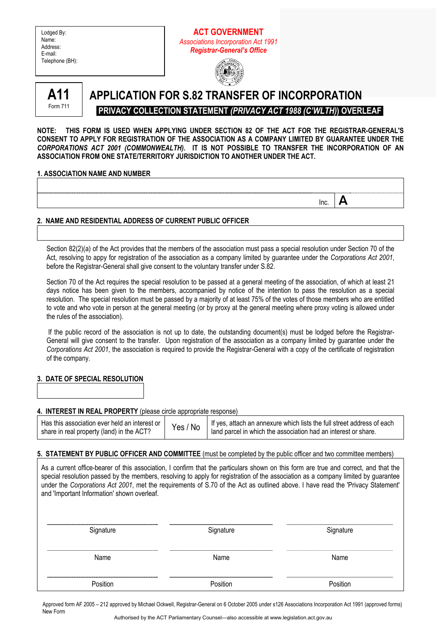| Lodged By:      |
|-----------------|
| Name:           |
| Address:        |
| E-mail:         |
| Telephone (BH): |
|                 |

# **ACT GOVERNMENT**  *Associations Incorporation Act 1991 Registrar-General's Office*





# **APPLICATION FOR S.82 TRANSFER OF INCORPORATION PRIVACY COLLECTION STATEMENT** *(PRIVACY ACT 1988 (C'WLTH)***) OVERLEAF**

**NOTE: THIS FORM IS USED WHEN APPLYING UNDER SECTION 82 OF THE ACT FOR THE REGISTRAR-GENERAL'S CONSENT TO APPLY FOR REGISTRATION OF THE ASSOCIATION AS A COMPANY LIMITED BY GUARANTEE UNDER THE**  *CORPORATIONS ACT 2001 (COMMONWEALTH)***. IT IS NOT POSSIBLE TO TRANSFER THE INCORPORATION OF AN ASSOCIATION FROM ONE STATE/TERRITORY JURISDICTION TO ANOTHER UNDER THE ACT.** 

**Inc.**  $\mathbf{A}$ 

## **1. ASSOCIATION NAME AND NUMBER**

# **2. NAME AND RESIDENTIAL ADDRESS OF CURRENT PUBLIC OFFICER**

Section 82(2)(a) of the Act provides that the members of the association must pass a special resolution under Section 70 of the Act, resolving to appy for registration of the association as a company limited by guarantee under the *Corporations Act 2001*, before the Registrar-General shall give consent to the voluntary transfer under S.82.

Section 70 of the Act requires the special resolution to be passed at a general meeting of the association, of which at least 21 days notice has been given to the members, accompanied by notice of the intention to pass the resolution as a special resolution. The special resolution must be passed by a majority of at least 75% of the votes of those members who are entitled to vote and who vote in person at the general meeting (or by proxy at the general meeting where proxy voting is allowed under the rules of the association).

 If the public record of the association is not up to date, the outstanding document(s) must be lodged before the Registrar-General will give consent to the transfer. Upon registration of the association as a company limited by guarantee under the *Corporations Act 2001*, the association is required to provide the Registrar-General with a copy of the certificate of registration of the company.

# **3. DATE OF SPECIAL RESOLUTION**

## **4. INTEREST IN REAL PROPERTY** (please circle appropriate response)

| Has this association ever held an interest or<br>share in real property (land) in the ACT? | Yes / No | If yes, attach an annexure which lists the full street address of each<br>land parcel in which the association had an interest or share. |
|--------------------------------------------------------------------------------------------|----------|------------------------------------------------------------------------------------------------------------------------------------------|
|--------------------------------------------------------------------------------------------|----------|------------------------------------------------------------------------------------------------------------------------------------------|

## **5. STATEMENT BY PUBLIC OFFICER AND COMMITTEE** (must be completed by the public officer and two committee members)

As a current office-bearer of this association, I confirm that the particulars shown on this form are true and correct, and that the special resolution passed by the members, resolving to apply for registration of the association as a company limited by guarantee under the *Corporations Act 2001*, met the requirements of S.70 of the Act as outlined above. I have read the 'Privacy Statement' and 'Important Information' shown overleaf.

| Signature | Signature | Signature |
|-----------|-----------|-----------|
|           |           |           |
| Name      | Name      | Name      |
|           |           |           |
| Position  | Position  | Position  |
|           |           |           |

Approved form AF 2005 – 212 approved by Michael Ockwell, Registrar-General on 6 October 2005 under s126 Associations Incorporation Act 1991 (approved forms) New Form